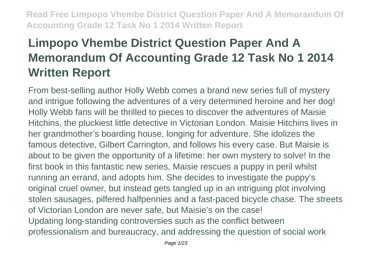# **Limpopo Vhembe District Question Paper And A Memorandum Of Accounting Grade 12 Task No 1 2014 Written Report**

From best-selling author Holly Webb comes a brand new series full of mystery and intrigue following the adventures of a very determined heroine and her dog! Holly Webb fans will be thrilled to pieces to discover the adventures of Maisie Hitchins, the pluckiest little detective in Victorian London. Maisie Hitchins lives in her grandmother's boarding house, longing for adventure. She idolizes the famous detective, Gilbert Carrington, and follows his every case. But Maisie is about to be given the opportunity of a lifetime: her own mystery to solve! In the first book in this fantastic new series, Maisie rescues a puppy in peril whilst running an errand, and adopts him. She decides to investigate the puppy's original cruel owner, but instead gets tangled up in an intriguing plot involving stolen sausages, pilfered halfpennies and a fast-paced bicycle chase. The streets of Victorian London are never safe, but Maisie's on the case! Updating long-standing controversies such as the conflict between professionalism and bureaucracy, and addressing the question of social work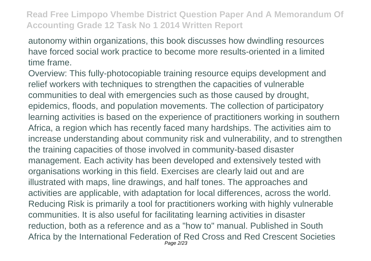autonomy within organizations, this book discusses how dwindling resources have forced social work practice to become more results-oriented in a limited time frame.

Overview: This fully-photocopiable training resource equips development and relief workers with techniques to strengthen the capacities of vulnerable communities to deal with emergencies such as those caused by drought, epidemics, floods, and population movements. The collection of participatory learning activities is based on the experience of practitioners working in southern Africa, a region which has recently faced many hardships. The activities aim to increase understanding about community risk and vulnerability, and to strengthen the training capacities of those involved in community-based disaster management. Each activity has been developed and extensively tested with organisations working in this field. Exercises are clearly laid out and are illustrated with maps, line drawings, and half tones. The approaches and activities are applicable, with adaptation for local differences, across the world. Reducing Risk is primarily a tool for practitioners working with highly vulnerable communities. It is also useful for facilitating learning activities in disaster reduction, both as a reference and as a "how to" manual. Published in South Africa by the International Federation of Red Cross and Red Crescent Societies Page 2/23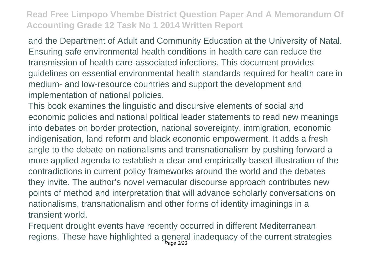and the Department of Adult and Community Education at the University of Natal. Ensuring safe environmental health conditions in health care can reduce the transmission of health care-associated infections. This document provides guidelines on essential environmental health standards required for health care in medium- and low-resource countries and support the development and implementation of national policies.

This book examines the linguistic and discursive elements of social and economic policies and national political leader statements to read new meanings into debates on border protection, national sovereignty, immigration, economic indigenisation, land reform and black economic empowerment. It adds a fresh angle to the debate on nationalisms and transnationalism by pushing forward a more applied agenda to establish a clear and empirically-based illustration of the contradictions in current policy frameworks around the world and the debates they invite. The author's novel vernacular discourse approach contributes new points of method and interpretation that will advance scholarly conversations on nationalisms, transnationalism and other forms of identity imaginings in a transient world.

Frequent drought events have recently occurred in different Mediterranean regions. These have highlighted a general inadequacy of the current strategies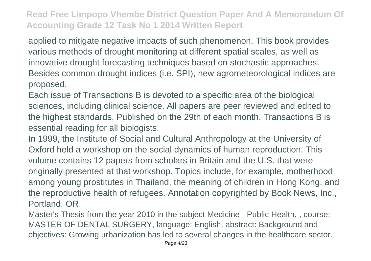applied to mitigate negative impacts of such phenomenon. This book provides various methods of drought monitoring at different spatial scales, as well as innovative drought forecasting techniques based on stochastic approaches. Besides common drought indices (i.e. SPI), new agrometeorological indices are proposed.

Each issue of Transactions B is devoted to a specific area of the biological sciences, including clinical science. All papers are peer reviewed and edited to the highest standards. Published on the 29th of each month, Transactions B is essential reading for all biologists.

In 1999, the Institute of Social and Cultural Anthropology at the University of Oxford held a workshop on the social dynamics of human reproduction. This volume contains 12 papers from scholars in Britain and the U.S. that were originally presented at that workshop. Topics include, for example, motherhood among young prostitutes in Thailand, the meaning of children in Hong Kong, and the reproductive health of refugees. Annotation copyrighted by Book News, Inc., Portland, OR

Master's Thesis from the year 2010 in the subject Medicine - Public Health, , course: MASTER OF DENTAL SURGERY, language: English, abstract: Background and objectives: Growing urbanization has led to several changes in the healthcare sector.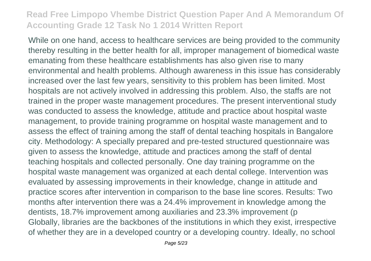While on one hand, access to healthcare services are being provided to the community thereby resulting in the better health for all, improper management of biomedical waste emanating from these healthcare establishments has also given rise to many environmental and health problems. Although awareness in this issue has considerably increased over the last few years, sensitivity to this problem has been limited. Most hospitals are not actively involved in addressing this problem. Also, the staffs are not trained in the proper waste management procedures. The present interventional study was conducted to assess the knowledge, attitude and practice about hospital waste management, to provide training programme on hospital waste management and to assess the effect of training among the staff of dental teaching hospitals in Bangalore city. Methodology: A specially prepared and pre-tested structured questionnaire was given to assess the knowledge, attitude and practices among the staff of dental teaching hospitals and collected personally. One day training programme on the hospital waste management was organized at each dental college. Intervention was evaluated by assessing improvements in their knowledge, change in attitude and practice scores after intervention in comparison to the base line scores. Results: Two months after intervention there was a 24.4% improvement in knowledge among the dentists, 18.7% improvement among auxiliaries and 23.3% improvement (p Globally, libraries are the backbones of the institutions in which they exist, irrespective of whether they are in a developed country or a developing country. Ideally, no school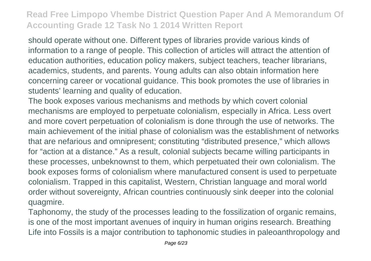should operate without one. Different types of libraries provide various kinds of information to a range of people. This collection of articles will attract the attention of education authorities, education policy makers, subject teachers, teacher librarians, academics, students, and parents. Young adults can also obtain information here concerning career or vocational guidance. This book promotes the use of libraries in students' learning and quality of education.

The book exposes various mechanisms and methods by which covert colonial mechanisms are employed to perpetuate colonialism, especially in Africa. Less overt and more covert perpetuation of colonialism is done through the use of networks. The main achievement of the initial phase of colonialism was the establishment of networks that are nefarious and omnipresent; constituting "distributed presence," which allows for "action at a distance." As a result, colonial subjects became willing participants in these processes, unbeknownst to them, which perpetuated their own colonialism. The book exposes forms of colonialism where manufactured consent is used to perpetuate colonialism. Trapped in this capitalist, Western, Christian language and moral world order without sovereignty, African countries continuously sink deeper into the colonial quagmire.

Taphonomy, the study of the processes leading to the fossilization of organic remains, is one of the most important avenues of inquiry in human origins research. Breathing Life into Fossils is a major contribution to taphonomic studies in paleoanthropology and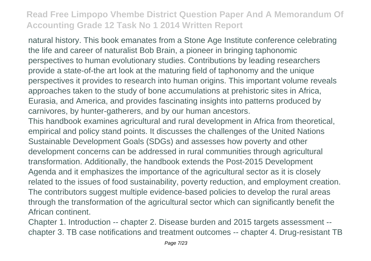natural history. This book emanates from a Stone Age Institute conference celebrating the life and career of naturalist Bob Brain, a pioneer in bringing taphonomic perspectives to human evolutionary studies. Contributions by leading researchers provide a state-of-the art look at the maturing field of taphonomy and the unique perspectives it provides to research into human origins. This important volume reveals approaches taken to the study of bone accumulations at prehistoric sites in Africa, Eurasia, and America, and provides fascinating insights into patterns produced by carnivores, by hunter-gatherers, and by our human ancestors.

This handbook examines agricultural and rural development in Africa from theoretical, empirical and policy stand points. It discusses the challenges of the United Nations Sustainable Development Goals (SDGs) and assesses how poverty and other development concerns can be addressed in rural communities through agricultural transformation. Additionally, the handbook extends the Post-2015 Development Agenda and it emphasizes the importance of the agricultural sector as it is closely related to the issues of food sustainability, poverty reduction, and employment creation. The contributors suggest multiple evidence-based policies to develop the rural areas through the transformation of the agricultural sector which can significantly benefit the African continent.

Chapter 1. Introduction -- chapter 2. Disease burden and 2015 targets assessment - chapter 3. TB case notifications and treatment outcomes -- chapter 4. Drug-resistant TB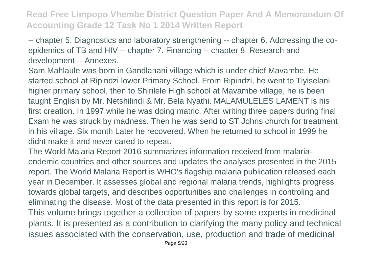-- chapter 5. Diagnostics and laboratory strengthening -- chapter 6. Addressing the coepidemics of TB and HIV -- chapter 7. Financing -- chapter 8. Research and development -- Annexes.

Sam Mahlaule was born in Gandlanani village which is under chief Mavambe. He started school at Ripindzi lower Primary School. From Ripindzi, he went to Tiyiselani higher primary school, then to Shirilele High school at Mavambe village, he is been taught English by Mr. Netshilindi & Mr. Bela Nyathi. MALAMULELES LAMENT is his first creation. In 1997 while he was doing matric, After writing three papers during final Exam he was struck by madness. Then he was send to ST Johns church for treatment in his village. Six month Later he recovered. When he returned to school in 1999 he didnt make it and never cared to repeat.

The World Malaria Report 2016 summarizes information received from malariaendemic countries and other sources and updates the analyses presented in the 2015 report. The World Malaria Report is WHO's flagship malaria publication released each year in December. It assesses global and regional malaria trends, highlights progress towards global targets, and describes opportunities and challenges in controling and eliminating the disease. Most of the data presented in this report is for 2015. This volume brings together a collection of papers by some experts in medicinal plants. It is presented as a contribution to clarifying the many policy and technical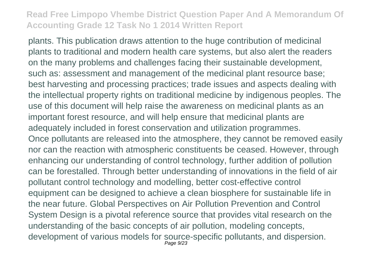plants. This publication draws attention to the huge contribution of medicinal plants to traditional and modern health care systems, but also alert the readers on the many problems and challenges facing their sustainable development, such as: assessment and management of the medicinal plant resource base; best harvesting and processing practices; trade issues and aspects dealing with the intellectual property rights on traditional medicine by indigenous peoples. The use of this document will help raise the awareness on medicinal plants as an important forest resource, and will help ensure that medicinal plants are adequately included in forest conservation and utilization programmes. Once pollutants are released into the atmosphere, they cannot be removed easily nor can the reaction with atmospheric constituents be ceased. However, through enhancing our understanding of control technology, further addition of pollution can be forestalled. Through better understanding of innovations in the field of air pollutant control technology and modelling, better cost-effective control equipment can be designed to achieve a clean biosphere for sustainable life in the near future. Global Perspectives on Air Pollution Prevention and Control System Design is a pivotal reference source that provides vital research on the understanding of the basic concepts of air pollution, modeling concepts, development of various models for source-specific pollutants, and dispersion. Page 9/23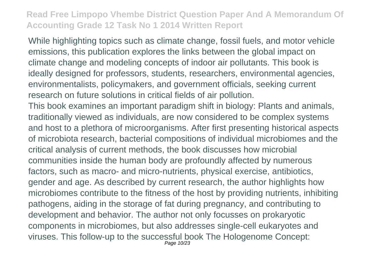While highlighting topics such as climate change, fossil fuels, and motor vehicle emissions, this publication explores the links between the global impact on climate change and modeling concepts of indoor air pollutants. This book is ideally designed for professors, students, researchers, environmental agencies, environmentalists, policymakers, and government officials, seeking current research on future solutions in critical fields of air pollution.

This book examines an important paradigm shift in biology: Plants and animals, traditionally viewed as individuals, are now considered to be complex systems and host to a plethora of microorganisms. After first presenting historical aspects of microbiota research, bacterial compositions of individual microbiomes and the critical analysis of current methods, the book discusses how microbial communities inside the human body are profoundly affected by numerous factors, such as macro- and micro-nutrients, physical exercise, antibiotics, gender and age. As described by current research, the author highlights how microbiomes contribute to the fitness of the host by providing nutrients, inhibiting pathogens, aiding in the storage of fat during pregnancy, and contributing to development and behavior. The author not only focusses on prokaryotic components in microbiomes, but also addresses single-cell eukaryotes and viruses. This follow-up to the successful book The Hologenome Concept: Page 10/23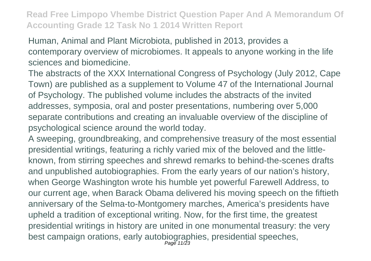Human, Animal and Plant Microbiota, published in 2013, provides a contemporary overview of microbiomes. It appeals to anyone working in the life sciences and biomedicine.

The abstracts of the XXX International Congress of Psychology (July 2012, Cape Town) are published as a supplement to Volume 47 of the International Journal of Psychology. The published volume includes the abstracts of the invited addresses, symposia, oral and poster presentations, numbering over 5,000 separate contributions and creating an invaluable overview of the discipline of psychological science around the world today.

A sweeping, groundbreaking, and comprehensive treasury of the most essential presidential writings, featuring a richly varied mix of the beloved and the littleknown, from stirring speeches and shrewd remarks to behind-the-scenes drafts and unpublished autobiographies. From the early years of our nation's history, when George Washington wrote his humble yet powerful Farewell Address, to our current age, when Barack Obama delivered his moving speech on the fiftieth anniversary of the Selma-to-Montgomery marches, America's presidents have upheld a tradition of exceptional writing. Now, for the first time, the greatest presidential writings in history are united in one monumental treasury: the very best campaign orations, early autobiographies, presidential speeches,<br>Page 11/23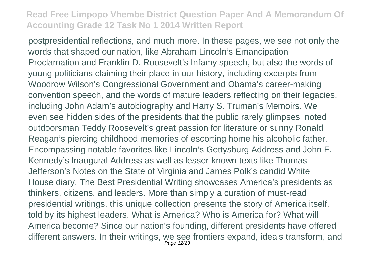postpresidential reflections, and much more. In these pages, we see not only the words that shaped our nation, like Abraham Lincoln's Emancipation Proclamation and Franklin D. Roosevelt's Infamy speech, but also the words of young politicians claiming their place in our history, including excerpts from Woodrow Wilson's Congressional Government and Obama's career-making convention speech, and the words of mature leaders reflecting on their legacies, including John Adam's autobiography and Harry S. Truman's Memoirs. We even see hidden sides of the presidents that the public rarely glimpses: noted outdoorsman Teddy Roosevelt's great passion for literature or sunny Ronald Reagan's piercing childhood memories of escorting home his alcoholic father. Encompassing notable favorites like Lincoln's Gettysburg Address and John F. Kennedy's Inaugural Address as well as lesser-known texts like Thomas Jefferson's Notes on the State of Virginia and James Polk's candid White House diary, The Best Presidential Writing showcases America's presidents as thinkers, citizens, and leaders. More than simply a curation of must-read presidential writings, this unique collection presents the story of America itself, told by its highest leaders. What is America? Who is America for? What will America become? Since our nation's founding, different presidents have offered different answers. In their writings, we see frontiers expand, ideals transform, and Page 12/23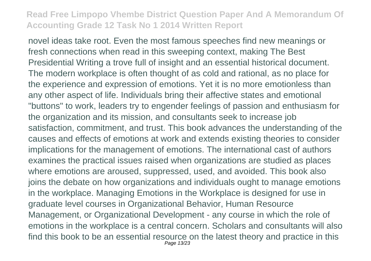novel ideas take root. Even the most famous speeches find new meanings or fresh connections when read in this sweeping context, making The Best Presidential Writing a trove full of insight and an essential historical document. The modern workplace is often thought of as cold and rational, as no place for the experience and expression of emotions. Yet it is no more emotionless than any other aspect of life. Individuals bring their affective states and emotional "buttons" to work, leaders try to engender feelings of passion and enthusiasm for the organization and its mission, and consultants seek to increase job satisfaction, commitment, and trust. This book advances the understanding of the causes and effects of emotions at work and extends existing theories to consider implications for the management of emotions. The international cast of authors examines the practical issues raised when organizations are studied as places where emotions are aroused, suppressed, used, and avoided. This book also joins the debate on how organizations and individuals ought to manage emotions in the workplace. Managing Emotions in the Workplace is designed for use in graduate level courses in Organizational Behavior, Human Resource Management, or Organizational Development - any course in which the role of emotions in the workplace is a central concern. Scholars and consultants will also find this book to be an essential resource on the latest theory and practice in this Page 13/23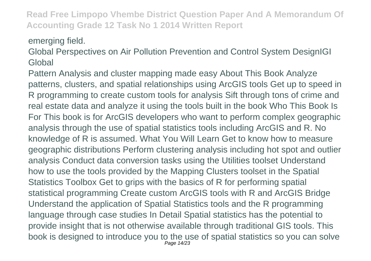emerging field.

Global Perspectives on Air Pollution Prevention and Control System DesignIGI **Global** 

Pattern Analysis and cluster mapping made easy About This Book Analyze patterns, clusters, and spatial relationships using ArcGIS tools Get up to speed in R programming to create custom tools for analysis Sift through tons of crime and real estate data and analyze it using the tools built in the book Who This Book Is For This book is for ArcGIS developers who want to perform complex geographic analysis through the use of spatial statistics tools including ArcGIS and R. No knowledge of R is assumed. What You Will Learn Get to know how to measure geographic distributions Perform clustering analysis including hot spot and outlier analysis Conduct data conversion tasks using the Utilities toolset Understand how to use the tools provided by the Mapping Clusters toolset in the Spatial Statistics Toolbox Get to grips with the basics of R for performing spatial statistical programming Create custom ArcGIS tools with R and ArcGIS Bridge Understand the application of Spatial Statistics tools and the R programming language through case studies In Detail Spatial statistics has the potential to provide insight that is not otherwise available through traditional GIS tools. This book is designed to introduce you to the use of spatial statistics so you can solve Page 14/23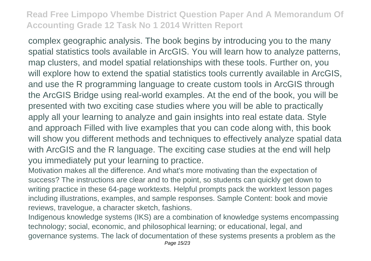complex geographic analysis. The book begins by introducing you to the many spatial statistics tools available in ArcGIS. You will learn how to analyze patterns, map clusters, and model spatial relationships with these tools. Further on, you will explore how to extend the spatial statistics tools currently available in ArcGIS, and use the R programming language to create custom tools in ArcGIS through the ArcGIS Bridge using real-world examples. At the end of the book, you will be presented with two exciting case studies where you will be able to practically apply all your learning to analyze and gain insights into real estate data. Style and approach Filled with live examples that you can code along with, this book will show you different methods and techniques to effectively analyze spatial data with ArcGIS and the R language. The exciting case studies at the end will help you immediately put your learning to practice.

Motivation makes all the difference. And what's more motivating than the expectation of success? The instructions are clear and to the point, so students can quickly get down to writing practice in these 64-page worktexts. Helpful prompts pack the worktext lesson pages including illustrations, examples, and sample responses. Sample Content: book and movie reviews, travelogue, a character sketch, fashions.

Indigenous knowledge systems (IKS) are a combination of knowledge systems encompassing technology; social, economic, and philosophical learning; or educational, legal, and governance systems. The lack of documentation of these systems presents a problem as the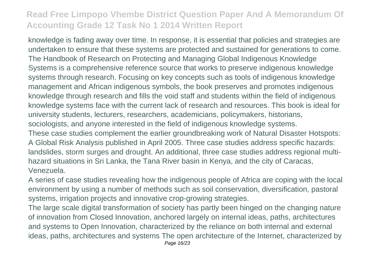knowledge is fading away over time. In response, it is essential that policies and strategies are undertaken to ensure that these systems are protected and sustained for generations to come. The Handbook of Research on Protecting and Managing Global Indigenous Knowledge Systems is a comprehensive reference source that works to preserve indigenous knowledge systems through research. Focusing on key concepts such as tools of indigenous knowledge management and African indigenous symbols, the book preserves and promotes indigenous knowledge through research and fills the void staff and students within the field of indigenous knowledge systems face with the current lack of research and resources. This book is ideal for university students, lecturers, researchers, academicians, policymakers, historians, sociologists, and anyone interested in the field of indigenous knowledge systems. These case studies complement the earlier groundbreaking work of Natural Disaster Hotspots: A Global Risk Analysis published in April 2005. Three case studies address specific hazards: landslides, storm surges and drought. An additional, three case studies address regional multihazard situations in Sri Lanka, the Tana River basin in Kenya, and the city of Caracas, Venezuela.

A series of case studies revealing how the indigenous people of Africa are coping with the local environment by using a number of methods such as soil conservation, diversification, pastoral systems, irrigation projects and innovative crop-growing strategies.

The large scale digital transformation of society has partly been hinged on the changing nature of innovation from Closed Innovation, anchored largely on internal ideas, paths, architectures and systems to Open Innovation, characterized by the reliance on both internal and external ideas, paths, architectures and systems The open architecture of the Internet, characterized by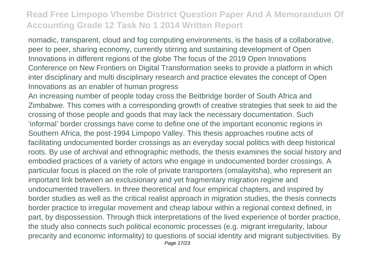nomadic, transparent, cloud and fog computing environments, is the basis of a collaborative, peer to peer, sharing economy, currently stirring and sustaining development of Open Innovations in different regions of the globe The focus of the 2019 Open Innovations Conference on New Frontiers on Digital Transformation seeks to provide a platform in which inter disciplinary and multi disciplinary research and practice elevates the concept of Open Innovations as an enabler of human progress

An increasing number of people today cross the Beitbridge border of South Africa and Zimbabwe. This comes with a corresponding growth of creative strategies that seek to aid the crossing of those people and goods that may lack the necessary documentation. Such 'informal' border crossings have come to define one of the important economic regions in Southern Africa, the post-1994 Limpopo Valley. This thesis approaches routine acts of facilitating undocumented border crossings as an everyday social politics with deep historical roots. By use of archival and ethnographic methods, the thesis examines the social history and embodied practices of a variety of actors who engage in undocumented border crossings. A particular focus is placed on the role of private transporters (omalayitsha), who represent an important link between an exclusionary and yet fragmentary migration regime and undocumented travellers. In three theoretical and four empirical chapters, and inspired by border studies as well as the critical realist approach in migration studies, the thesis connects border practice to irregular movement and cheap labour within a regional context defined, in part, by dispossession. Through thick interpretations of the lived experience of border practice, the study also connects such political economic processes (e.g. migrant irregularity, labour precarity and economic informality) to questions of social identity and migrant subjectivities. By Page 17/23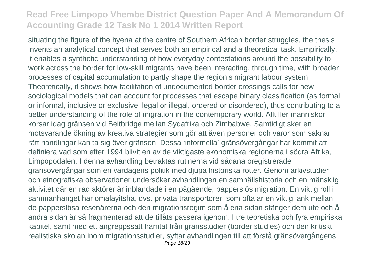situating the figure of the hyena at the centre of Southern African border struggles, the thesis invents an analytical concept that serves both an empirical and a theoretical task. Empirically, it enables a synthetic understanding of how everyday contestations around the possibility to work across the border for low-skill migrants have been interacting, through time, with broader processes of capital accumulation to partly shape the region's migrant labour system. Theoretically, it shows how facilitation of undocumented border crossings calls for new sociological models that can account for processes that escape binary classification (as formal or informal, inclusive or exclusive, legal or illegal, ordered or disordered), thus contributing to a better understanding of the role of migration in the contemporary world. Allt fler människor korsar idag gränsen vid Beitbridge mellan Sydafrika och Zimbabwe. Samtidigt sker en motsvarande ökning av kreativa strategier som gör att även personer och varor som saknar rätt handlingar kan ta sig över gränsen. Dessa 'informella' gränsövergångar har kommit att definiera vad som efter 1994 blivit en av de viktigaste ekonomiska regionerna i södra Afrika, Limpopodalen. I denna avhandling betraktas rutinerna vid sådana oregistrerade gränsövergångar som en vardagens politik med djupa historiska rötter. Genom arkivstudier och etnografiska observationer undersöker avhandlingen en samhällshistoria och en mänsklig aktivitet där en rad aktörer är inblandade i en pågående, papperslös migration. En viktig roll i sammanhanget har omalayitsha, dvs. privata transportörer, som ofta är en viktig länk mellan de papperslösa resenärerna och den migrationsregim som å ena sidan stänger dem ute och å andra sidan är så fragmenterad att de tillåts passera igenom. I tre teoretiska och fyra empiriska kapitel, samt med ett angreppssätt hämtat från gränsstudier (border studies) och den kritiskt realistiska skolan inom migrationsstudier, syftar avhandlingen till att förstå gränsövergångens Page 18/23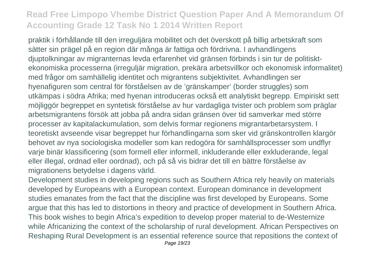praktik i förhållande till den irreguljära mobilitet och det överskott på billig arbetskraft som sätter sin prägel på en region där många är fattiga och fördrivna. I avhandlingens djuptolkningar av migranternas levda erfarenhet vid gränsen förbinds i sin tur de politisktekonomiska processerna (irreguljär migration, prekära arbetsvillkor och ekonomisk informalitet) med frågor om samhällelig identitet och migrantens subjektivitet. Avhandlingen ser hyenafiguren som central för förståelsen av de 'gränskamper' (border struggles) som utkämpas i södra Afrika; med hyenan introduceras också ett analytiskt begrepp. Empiriskt sett möjliggör begreppet en syntetisk förståelse av hur vardagliga tvister och problem som präglar arbetsmigrantens försök att jobba på andra sidan gränsen över tid samverkar med större processer av kapitalackumulation, som delvis formar regionens migrantarbetarsystem. I teoretiskt avseende visar begreppet hur förhandlingarna som sker vid gränskontrollen klargör behovet av nya sociologiska modeller som kan redogöra för samhällsprocesser som undflyr varje binär klassificering (som formell eller informell, inkluderande eller exkluderande, legal eller illegal, ordnad eller oordnad), och på så vis bidrar det till en bättre förståelse av migrationens betydelse i dagens värld.

Development studies in developing regions such as Southern Africa rely heavily on materials developed by Europeans with a European context. European dominance in development studies emanates from the fact that the discipline was first developed by Europeans. Some argue that this has led to distortions in theory and practice of development in Southern Africa. This book wishes to begin Africa's expedition to develop proper material to de-Westernize while Africanizing the context of the scholarship of rural development. African Perspectives on Reshaping Rural Development is an essential reference source that repositions the context of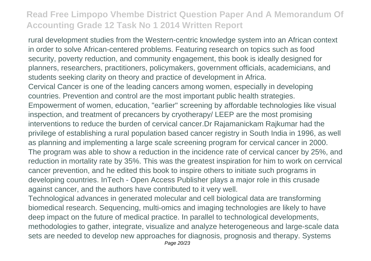rural development studies from the Western-centric knowledge system into an African context in order to solve African-centered problems. Featuring research on topics such as food security, poverty reduction, and community engagement, this book is ideally designed for planners, researchers, practitioners, policymakers, government officials, academicians, and students seeking clarity on theory and practice of development in Africa. Cervical Cancer is one of the leading cancers among women, especially in developing countries. Prevention and control are the most important public health strategies. Empowerment of women, education, "earlier" screening by affordable technologies like visual inspection, and treatment of precancers by cryotherapy/ LEEP are the most promising interventions to reduce the burden of cervical cancer.Dr Rajamanickam Rajkumar had the privilege of establishing a rural population based cancer registry in South India in 1996, as well as planning and implementing a large scale screening program for cervical cancer in 2000. The program was able to show a reduction in the incidence rate of cervical cancer by 25%, and reduction in mortality rate by 35%. This was the greatest inspiration for him to work on cerrvical cancer prevention, and he edited this book to inspire others to initiate such programs in developing countries. InTech - Open Access Publisher plays a major role in this crusade against cancer, and the authors have contributed to it very well.

Technological advances in generated molecular and cell biological data are transforming biomedical research. Sequencing, multi-omics and imaging technologies are likely to have deep impact on the future of medical practice. In parallel to technological developments, methodologies to gather, integrate, visualize and analyze heterogeneous and large-scale data sets are needed to develop new approaches for diagnosis, prognosis and therapy. Systems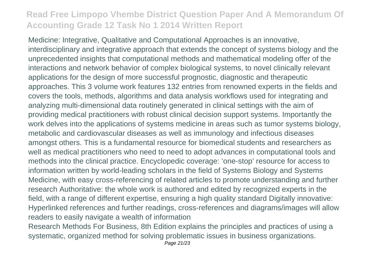Medicine: Integrative, Qualitative and Computational Approaches is an innovative, interdisciplinary and integrative approach that extends the concept of systems biology and the unprecedented insights that computational methods and mathematical modeling offer of the interactions and network behavior of complex biological systems, to novel clinically relevant applications for the design of more successful prognostic, diagnostic and therapeutic approaches. This 3 volume work features 132 entries from renowned experts in the fields and covers the tools, methods, algorithms and data analysis workflows used for integrating and analyzing multi-dimensional data routinely generated in clinical settings with the aim of providing medical practitioners with robust clinical decision support systems. Importantly the work delves into the applications of systems medicine in areas such as tumor systems biology, metabolic and cardiovascular diseases as well as immunology and infectious diseases amongst others. This is a fundamental resource for biomedical students and researchers as well as medical practitioners who need to need to adopt advances in computational tools and methods into the clinical practice. Encyclopedic coverage: 'one-stop' resource for access to information written by world-leading scholars in the field of Systems Biology and Systems Medicine, with easy cross-referencing of related articles to promote understanding and further research Authoritative: the whole work is authored and edited by recognized experts in the field, with a range of different expertise, ensuring a high quality standard Digitally innovative: Hyperlinked references and further readings, cross-references and diagrams/images will allow readers to easily navigate a wealth of information

Research Methods For Business, 8th Edition explains the principles and practices of using a systematic, organized method for solving problematic issues in business organizations.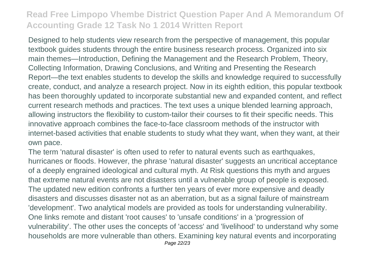Designed to help students view research from the perspective of management, this popular textbook guides students through the entire business research process. Organized into six main themes—Introduction, Defining the Management and the Research Problem, Theory, Collecting Information, Drawing Conclusions, and Writing and Presenting the Research Report—the text enables students to develop the skills and knowledge required to successfully create, conduct, and analyze a research project. Now in its eighth edition, this popular textbook has been thoroughly updated to incorporate substantial new and expanded content, and reflect current research methods and practices. The text uses a unique blended learning approach, allowing instructors the flexibility to custom-tailor their courses to fit their specific needs. This innovative approach combines the face-to-face classroom methods of the instructor with internet-based activities that enable students to study what they want, when they want, at their own pace.

The term 'natural disaster' is often used to refer to natural events such as earthquakes, hurricanes or floods. However, the phrase 'natural disaster' suggests an uncritical acceptance of a deeply engrained ideological and cultural myth. At Risk questions this myth and argues that extreme natural events are not disasters until a vulnerable group of people is exposed. The updated new edition confronts a further ten years of ever more expensive and deadly disasters and discusses disaster not as an aberration, but as a signal failure of mainstream 'development'. Two analytical models are provided as tools for understanding vulnerability. One links remote and distant 'root causes' to 'unsafe conditions' in a 'progression of vulnerability'. The other uses the concepts of 'access' and 'livelihood' to understand why some households are more vulnerable than others. Examining key natural events and incorporating